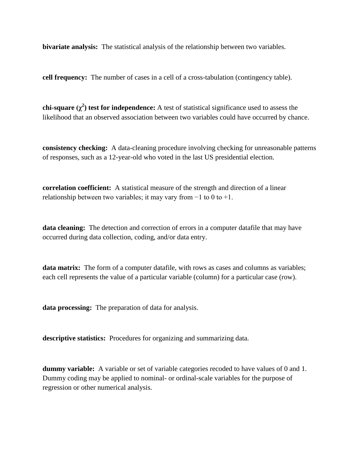**bivariate analysis:** The statistical analysis of the relationship between two variables.

**cell frequency:** The number of cases in a cell of a cross-tabulation (contingency table).

**chi-square (χ<sup>2</sup> ) test for independence:** A test of statistical significance used to assess the likelihood that an observed association between two variables could have occurred by chance.

**consistency checking:** A data-cleaning procedure involving checking for unreasonable patterns of responses, such as a 12-year-old who voted in the last US presidential election.

**correlation coefficient:** A statistical measure of the strength and direction of a linear relationship between two variables; it may vary from  $-1$  to 0 to  $+1$ .

**data cleaning:** The detection and correction of errors in a computer datafile that may have occurred during data collection, coding, and/or data entry.

**data matrix:** The form of a computer datafile, with rows as cases and columns as variables; each cell represents the value of a particular variable (column) for a particular case (row).

**data processing:** The preparation of data for analysis.

**descriptive statistics:** Procedures for organizing and summarizing data.

**dummy variable:** A variable or set of variable categories recoded to have values of 0 and 1. Dummy coding may be applied to nominal- or ordinal-scale variables for the purpose of regression or other numerical analysis.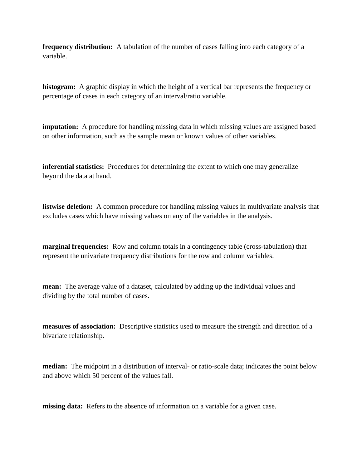**frequency distribution:** A tabulation of the number of cases falling into each category of a variable.

**histogram:** A graphic display in which the height of a vertical bar represents the frequency or percentage of cases in each category of an interval/ratio variable.

**imputation:** A procedure for handling missing data in which missing values are assigned based on other information, such as the sample mean or known values of other variables.

**inferential statistics:** Procedures for determining the extent to which one may generalize beyond the data at hand.

**listwise deletion:** A common procedure for handling missing values in multivariate analysis that excludes cases which have missing values on any of the variables in the analysis.

**marginal frequencies:** Row and column totals in a contingency table (cross-tabulation) that represent the univariate frequency distributions for the row and column variables.

**mean:** The average value of a dataset, calculated by adding up the individual values and dividing by the total number of cases.

**measures of association:** Descriptive statistics used to measure the strength and direction of a bivariate relationship.

**median:** The midpoint in a distribution of interval- or ratio-scale data; indicates the point below and above which 50 percent of the values fall.

**missing data:** Refers to the absence of information on a variable for a given case.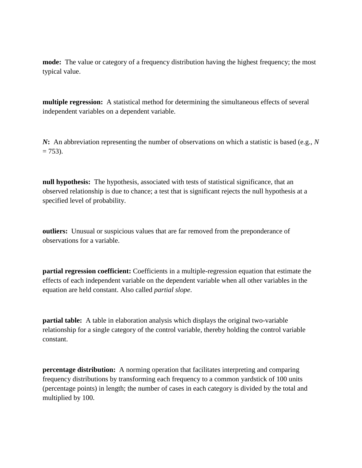**mode:** The value or category of a frequency distribution having the highest frequency; the most typical value.

**multiple regression:** A statistical method for determining the simultaneous effects of several independent variables on a dependent variable.

*N***:** An abbreviation representing the number of observations on which a statistic is based (e.g., *N*  $= 753$ ).

**null hypothesis:** The hypothesis, associated with tests of statistical significance, that an observed relationship is due to chance; a test that is significant rejects the null hypothesis at a specified level of probability.

**outliers:** Unusual or suspicious values that are far removed from the preponderance of observations for a variable.

**partial regression coefficient:** Coefficients in a multiple-regression equation that estimate the effects of each independent variable on the dependent variable when all other variables in the equation are held constant. Also called *partial slope*.

**partial table:** A table in elaboration analysis which displays the original two-variable relationship for a single category of the control variable, thereby holding the control variable constant.

**percentage distribution:** A norming operation that facilitates interpreting and comparing frequency distributions by transforming each frequency to a common yardstick of 100 units (percentage points) in length; the number of cases in each category is divided by the total and multiplied by 100.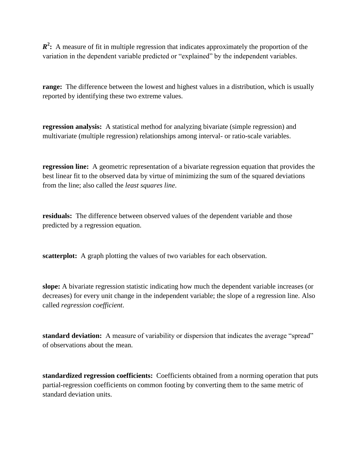*R***<sup>2</sup>**: A measure of fit in multiple regression that indicates approximately the proportion of the variation in the dependent variable predicted or "explained" by the independent variables.

**range:** The difference between the lowest and highest values in a distribution, which is usually reported by identifying these two extreme values.

**regression analysis:** A statistical method for analyzing bivariate (simple regression) and multivariate (multiple regression) relationships among interval- or ratio-scale variables.

**regression line:** A geometric representation of a bivariate regression equation that provides the best linear fit to the observed data by virtue of minimizing the sum of the squared deviations from the line; also called the *least squares line*.

**residuals:** The difference between observed values of the dependent variable and those predicted by a regression equation.

**scatterplot:** A graph plotting the values of two variables for each observation.

**slope:** A bivariate regression statistic indicating how much the dependent variable increases (or decreases) for every unit change in the independent variable; the slope of a regression line. Also called *regression coefficient*.

**standard deviation:** A measure of variability or dispersion that indicates the average "spread" of observations about the mean.

**standardized regression coefficients:** Coefficients obtained from a norming operation that puts partial-regression coefficients on common footing by converting them to the same metric of standard deviation units.